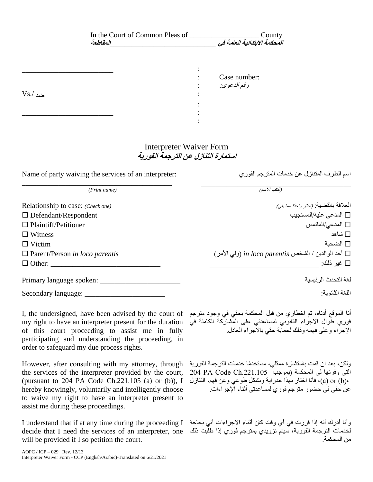| In the Court of Common Pleas of<br>العقلطعة                          | County<br><i>المحكمة الابتدائية العامة في</i>  |
|----------------------------------------------------------------------|------------------------------------------------|
|                                                                      |                                                |
|                                                                      | Case number:                                   |
|                                                                      | رقم الدعوى:                                    |
| $Vs/$ مُد                                                            |                                                |
|                                                                      |                                                |
|                                                                      |                                                |
|                                                                      |                                                |
|                                                                      |                                                |
| <b>Interpreter Waiver Form</b><br>استمارة التنازل عن الترجمة الفورية |                                                |
| Name of party waiving the services of an interpreter:                | اسم الطرف المتنازل عن خدمات المترجم الفوري     |
| (Print name)                                                         | (اكتب الاسم)                                   |
| Relationship to case: (Check one)                                    | العلاقة بالقضية: (اختر واحدًا م <i>ما يلي)</i> |
| $\Box$ Defendant/Respondent                                          | المدعى عليه/المستجيب $\Box$                    |

I, the undersigned, have been advised by the court of أنا الموقع أدناه، تم اخطاري من قبل المحكمة بحقي في وجود مترجم my right to have an interpreter present for the duration فوري طوال االجراء القانوني لمساعدتي على المشاركة الكاملة في of this court proceeding to assist me in fully participating and understanding the proceeding, in order to safeguard my due process rights.

However, after consulting with my attorney, through the services of the interpreter provided by the court, (pursuant to 204 PA Code Ch.221.105 (a) or (b)), I hereby knowingly, voluntarily and intelligently choose to waive my right to have an interpreter present to assist me during these proceedings.

decide that I need the services of an interpreter, one لخدمات الترجمة الفورية، سيتم تزويدي بمترجم فوري إذا طلبت ذلك will be provided if I so petition the court.

اإلجراء وعلى فهمه وذلك لحماية حقي باالجراء العادل.

ولكن، بعد ان قمت باستشارة ممثلي، مستخدًما خدمات الترجمة الفورية التي وفرتها لي المحكمة (بموجب 201.105 PA Code Ch ،(b (or) a(، فأنا اختار بهذا ،بدراية وبشكل طوعي وعن فهم، التنازل عن حقي في حضور مترجم فوري لمساعدتي أثناء اإلجراءات.

I understand that if at any time during the proceeding I وأنا أدرك أنه إذا قررت في أي وقت كان أثناء االجراءات أني بحاجة من المحكمة.

Plaintiff/Petitioner الملتمس/المدعي

Witness شاهد

Victim الضحية

Parent/Person *in loco parentis* )األمر ولي )*in loco parentis* الشخص / الوالدين أحد

Other: \_\_\_\_\_\_\_\_\_\_\_\_\_\_\_\_\_\_\_\_\_\_\_\_\_\_\_\_\_\_ \_\_\_\_\_\_\_\_\_\_\_\_\_\_\_\_\_\_\_\_\_\_\_\_\_\_\_\_\_\_ :ذلك غير

لغة التحدث الرئيسية \_\_\_\_\_\_\_\_\_\_\_\_\_\_\_\_\_\_\_\_\_\_ \_\_\_\_\_\_\_\_\_\_\_\_\_\_\_\_\_\_\_\_\_\_ :spoken language Primary

اللغة الثانوية: \_\_\_\_\_\_\_\_\_\_\_\_\_\_\_\_\_\_\_\_\_\_ \_\_\_\_\_\_\_\_\_\_\_\_\_\_\_\_\_\_\_\_\_\_ :language Secondary